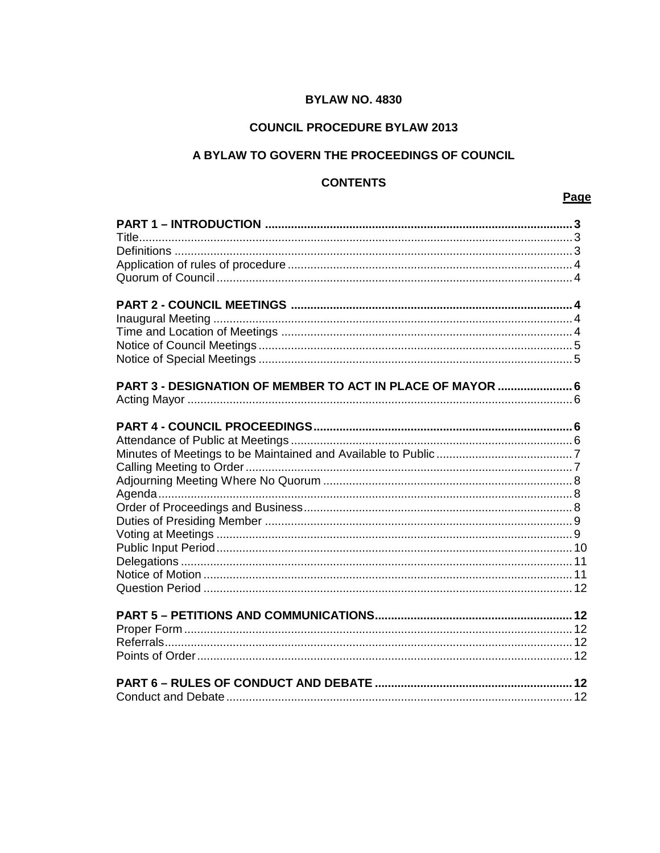# **BYLAW NO. 4830**

# **COUNCIL PROCEDURE BYLAW 2013**

# A BYLAW TO GOVERN THE PROCEEDINGS OF COUNCIL

# **CONTENTS**

# Page

| PART 3 - DESIGNATION OF MEMBER TO ACT IN PLACE OF MAYOR  6 |  |
|------------------------------------------------------------|--|
|                                                            |  |
|                                                            |  |
|                                                            |  |
|                                                            |  |
|                                                            |  |
|                                                            |  |
|                                                            |  |
|                                                            |  |
|                                                            |  |
|                                                            |  |
|                                                            |  |
|                                                            |  |
|                                                            |  |
|                                                            |  |
|                                                            |  |
|                                                            |  |
|                                                            |  |
|                                                            |  |
|                                                            |  |
|                                                            |  |
|                                                            |  |
|                                                            |  |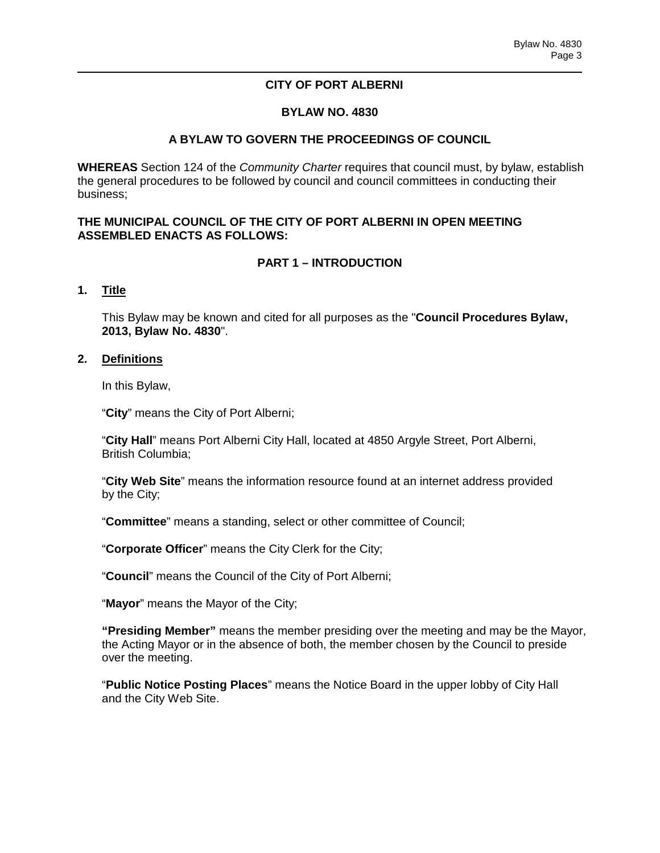## **CITY OF PORT ALBERNI**

## **BYLAW NO. 4830**

## **A BYLAW TO GOVERN THE PROCEEDINGS OF COUNCIL**

**WHEREAS** Section 124 of the *Community Charter* requires that council must, by bylaw, establish the general procedures to be followed by council and council committees in conducting their business;

### **THE MUNICIPAL COUNCIL OF THE CITY OF PORT ALBERNI IN OPEN MEETING ASSEMBLED ENACTS AS FOLLOWS:**

## **PART 1 – INTRODUCTION**

### **1. Title**

This Bylaw may be known and cited for all purposes as the "**Council Procedures Bylaw, 2013, Bylaw No. 4830**".

### **2. Definitions**

In this Bylaw,

"**City**" means the City of Port Alberni;

"**City Hall**" means Port Alberni City Hall, located at 4850 Argyle Street, Port Alberni, British Columbia;

"**City Web Site**" means the information resource found at an internet address provided by the City;

"**Committee**" means a standing, select or other committee of Council;

"**Corporate Officer**" means the City Clerk for the City;

"**Council**" means the Council of the City of Port Alberni;

"**Mayor**" means the Mayor of the City;

**"Presiding Member"** means the member presiding over the meeting and may be the Mayor, the Acting Mayor or in the absence of both, the member chosen by the Council to preside over the meeting.

"**Public Notice Posting Places**" means the Notice Board in the upper lobby of City Hall and the City Web Site.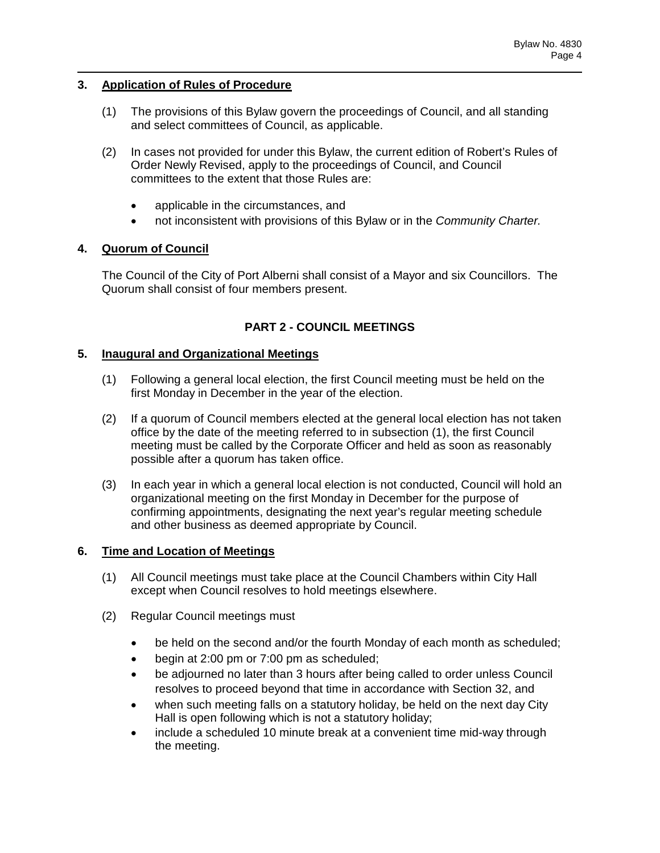## **3. Application of Rules of Procedure**

- (1) The provisions of this Bylaw govern the proceedings of Council, and all standing and select committees of Council, as applicable.
- (2) In cases not provided for under this Bylaw, the current edition of Robert's Rules of Order Newly Revised, apply to the proceedings of Council, and Council committees to the extent that those Rules are:
	- applicable in the circumstances, and
	- not inconsistent with provisions of this Bylaw or in the *Community Charter.*

## **4. Quorum of Council**

The Council of the City of Port Alberni shall consist of a Mayor and six Councillors. The Quorum shall consist of four members present.

# **PART 2 - COUNCIL MEETINGS**

## **5. Inaugural and Organizational Meetings**

- (1) Following a general local election, the first Council meeting must be held on the first Monday in December in the year of the election.
- (2) If a quorum of Council members elected at the general local election has not taken office by the date of the meeting referred to in subsection (1), the first Council meeting must be called by the Corporate Officer and held as soon as reasonably possible after a quorum has taken office.
- (3) In each year in which a general local election is not conducted, Council will hold an organizational meeting on the first Monday in December for the purpose of confirming appointments, designating the next year's regular meeting schedule and other business as deemed appropriate by Council.

### **6. Time and Location of Meetings**

- (1) All Council meetings must take place at the Council Chambers within City Hall except when Council resolves to hold meetings elsewhere.
- (2) Regular Council meetings must
	- be held on the second and/or the fourth Monday of each month as scheduled;
	- begin at 2:00 pm or 7:00 pm as scheduled;
	- be adjourned no later than 3 hours after being called to order unless Council resolves to proceed beyond that time in accordance with Section 32, and
	- when such meeting falls on a statutory holiday, be held on the next day City Hall is open following which is not a statutory holiday;
	- include a scheduled 10 minute break at a convenient time mid-way through the meeting.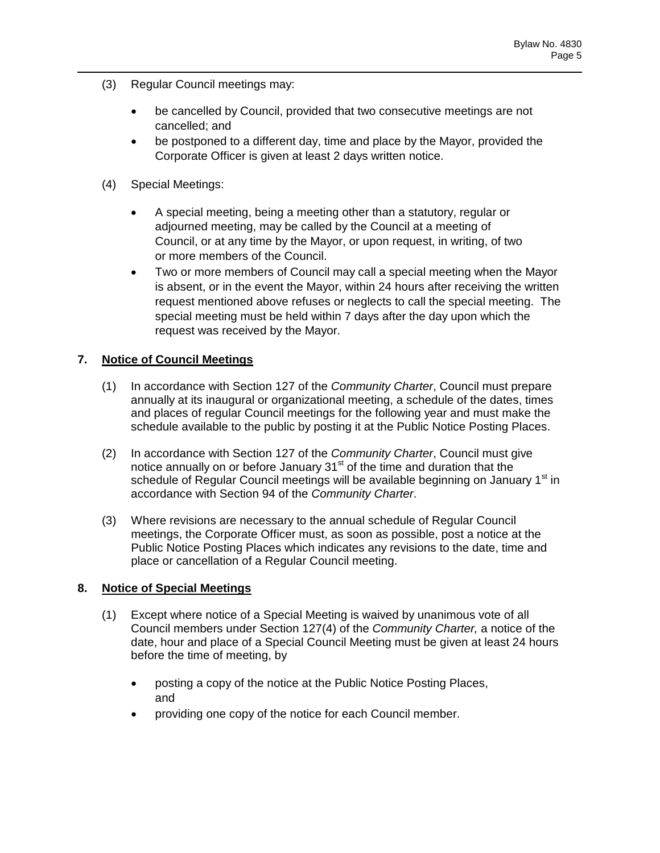- (3) Regular Council meetings may:
	- be cancelled by Council, provided that two consecutive meetings are not cancelled; and
	- be postponed to a different day, time and place by the Mayor, provided the Corporate Officer is given at least 2 days written notice.
- (4) Special Meetings:
	- A special meeting, being a meeting other than a statutory, regular or adjourned meeting, may be called by the Council at a meeting of Council, or at any time by the Mayor, or upon request, in writing, of two or more members of the Council.
	- Two or more members of Council may call a special meeting when the Mayor is absent, or in the event the Mayor, within 24 hours after receiving the written request mentioned above refuses or neglects to call the special meeting. The special meeting must be held within 7 days after the day upon which the request was received by the Mayor.

# **7. Notice of Council Meetings**

- (1) In accordance with Section 127 of the *Community Charter*, Council must prepare annually at its inaugural or organizational meeting, a schedule of the dates, times and places of regular Council meetings for the following year and must make the schedule available to the public by posting it at the Public Notice Posting Places.
- (2) In accordance with Section 127 of the *Community Charter*, Council must give notice annually on or before January 31<sup>st</sup> of the time and duration that the schedule of Regular Council meetings will be available beginning on January 1<sup>st</sup> in accordance with Section 94 of the *Community Charter*.
- (3) Where revisions are necessary to the annual schedule of Regular Council meetings, the Corporate Officer must, as soon as possible, post a notice at the Public Notice Posting Places which indicates any revisions to the date, time and place or cancellation of a Regular Council meeting.

### **8. Notice of Special Meetings**

- (1) Except where notice of a Special Meeting is waived by unanimous vote of all Council members under Section 127(4) of the *Community Charter,* a notice of the date, hour and place of a Special Council Meeting must be given at least 24 hours before the time of meeting, by
	- posting a copy of the notice at the Public Notice Posting Places, and
	- providing one copy of the notice for each Council member.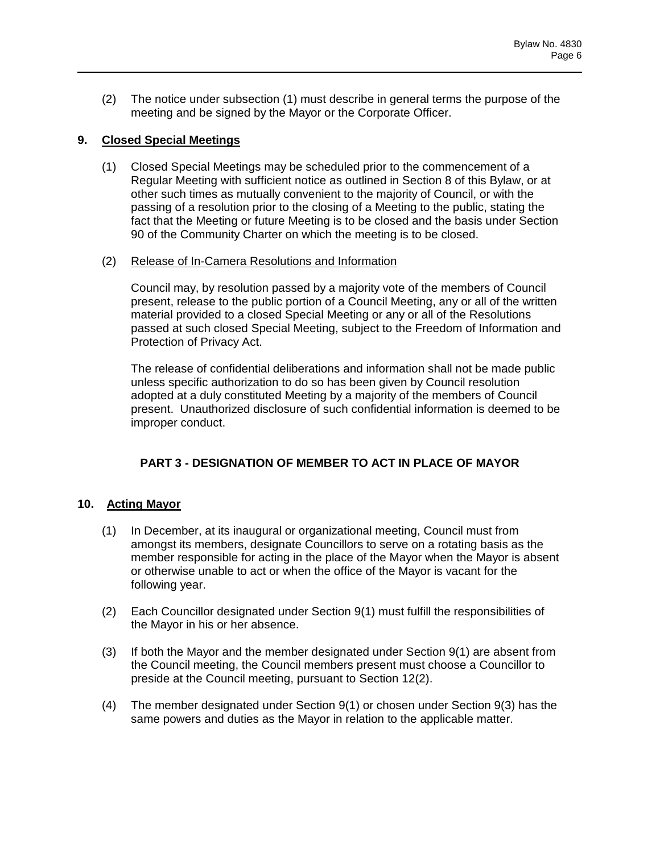(2) The notice under subsection (1) must describe in general terms the purpose of the meeting and be signed by the Mayor or the Corporate Officer.

## **9. Closed Special Meetings**

(1) Closed Special Meetings may be scheduled prior to the commencement of a Regular Meeting with sufficient notice as outlined in Section 8 of this Bylaw, or at other such times as mutually convenient to the majority of Council, or with the passing of a resolution prior to the closing of a Meeting to the public, stating the fact that the Meeting or future Meeting is to be closed and the basis under Section 90 of the Community Charter on which the meeting is to be closed.

### (2) Release of In-Camera Resolutions and Information

Council may, by resolution passed by a majority vote of the members of Council present, release to the public portion of a Council Meeting, any or all of the written material provided to a closed Special Meeting or any or all of the Resolutions passed at such closed Special Meeting, subject to the Freedom of Information and Protection of Privacy Act.

The release of confidential deliberations and information shall not be made public unless specific authorization to do so has been given by Council resolution adopted at a duly constituted Meeting by a majority of the members of Council present. Unauthorized disclosure of such confidential information is deemed to be improper conduct.

# **PART 3 - DESIGNATION OF MEMBER TO ACT IN PLACE OF MAYOR**

# **10. Acting Mayor**

- (1) In December, at its inaugural or organizational meeting, Council must from amongst its members, designate Councillors to serve on a rotating basis as the member responsible for acting in the place of the Mayor when the Mayor is absent or otherwise unable to act or when the office of the Mayor is vacant for the following year.
- (2) Each Councillor designated under Section 9(1) must fulfill the responsibilities of the Mayor in his or her absence.
- (3) If both the Mayor and the member designated under Section 9(1) are absent from the Council meeting, the Council members present must choose a Councillor to preside at the Council meeting, pursuant to Section 12(2).
- (4) The member designated under Section 9(1) or chosen under Section 9(3) has the same powers and duties as the Mayor in relation to the applicable matter.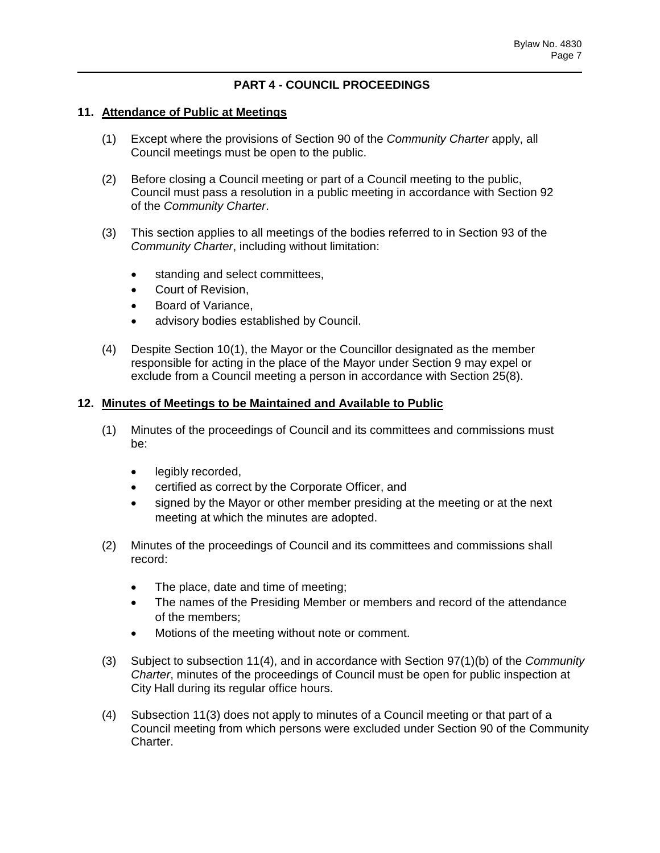## **PART 4 - COUNCIL PROCEEDINGS**

#### **11. Attendance of Public at Meetings**

- (1) Except where the provisions of Section 90 of the *Community Charter* apply, all Council meetings must be open to the public.
- (2) Before closing a Council meeting or part of a Council meeting to the public, Council must pass a resolution in a public meeting in accordance with Section 92 of the *Community Charter*.
- (3) This section applies to all meetings of the bodies referred to in Section 93 of the *Community Charter*, including without limitation:
	- standing and select committees,
	- Court of Revision,
	- Board of Variance,
	- advisory bodies established by Council.
- (4) Despite Section 10(1), the Mayor or the Councillor designated as the member responsible for acting in the place of the Mayor under Section 9 may expel or exclude from a Council meeting a person in accordance with Section 25(8).

### **12. Minutes of Meetings to be Maintained and Available to Public**

- (1) Minutes of the proceedings of Council and its committees and commissions must be:
	- legibly recorded,
	- certified as correct by the Corporate Officer, and
	- signed by the Mayor or other member presiding at the meeting or at the next meeting at which the minutes are adopted.
- (2) Minutes of the proceedings of Council and its committees and commissions shall record:
	- The place, date and time of meeting;
	- The names of the Presiding Member or members and record of the attendance of the members;
	- Motions of the meeting without note or comment.
- (3) Subject to subsection 11(4), and in accordance with Section 97(1)(b) of the *Community Charter*, minutes of the proceedings of Council must be open for public inspection at City Hall during its regular office hours.
- (4) Subsection 11(3) does not apply to minutes of a Council meeting or that part of a Council meeting from which persons were excluded under Section 90 of the Community Charter.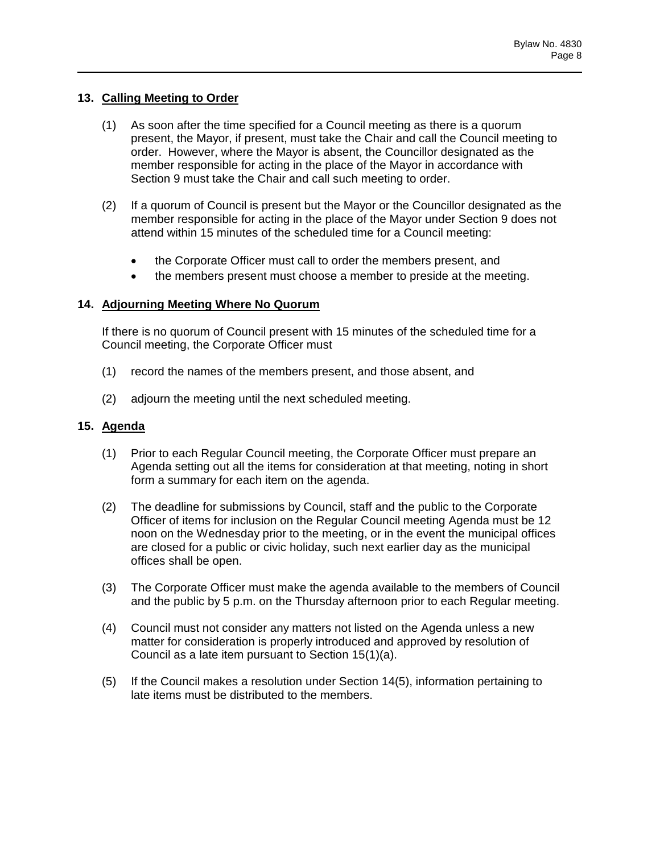### **13. Calling Meeting to Order**

- (1) As soon after the time specified for a Council meeting as there is a quorum present, the Mayor, if present, must take the Chair and call the Council meeting to order. However, where the Mayor is absent, the Councillor designated as the member responsible for acting in the place of the Mayor in accordance with Section 9 must take the Chair and call such meeting to order.
- (2) If a quorum of Council is present but the Mayor or the Councillor designated as the member responsible for acting in the place of the Mayor under Section 9 does not attend within 15 minutes of the scheduled time for a Council meeting:
	- the Corporate Officer must call to order the members present, and
	- the members present must choose a member to preside at the meeting.

## **14. Adjourning Meeting Where No Quorum**

If there is no quorum of Council present with 15 minutes of the scheduled time for a Council meeting, the Corporate Officer must

- (1) record the names of the members present, and those absent, and
- (2) adjourn the meeting until the next scheduled meeting.

# **15. Agenda**

- (1) Prior to each Regular Council meeting, the Corporate Officer must prepare an Agenda setting out all the items for consideration at that meeting, noting in short form a summary for each item on the agenda.
- (2) The deadline for submissions by Council, staff and the public to the Corporate Officer of items for inclusion on the Regular Council meeting Agenda must be 12 noon on the Wednesday prior to the meeting, or in the event the municipal offices are closed for a public or civic holiday, such next earlier day as the municipal offices shall be open.
- (3) The Corporate Officer must make the agenda available to the members of Council and the public by 5 p.m. on the Thursday afternoon prior to each Regular meeting.
- (4) Council must not consider any matters not listed on the Agenda unless a new matter for consideration is properly introduced and approved by resolution of Council as a late item pursuant to Section 15(1)(a).
- (5) If the Council makes a resolution under Section 14(5), information pertaining to late items must be distributed to the members.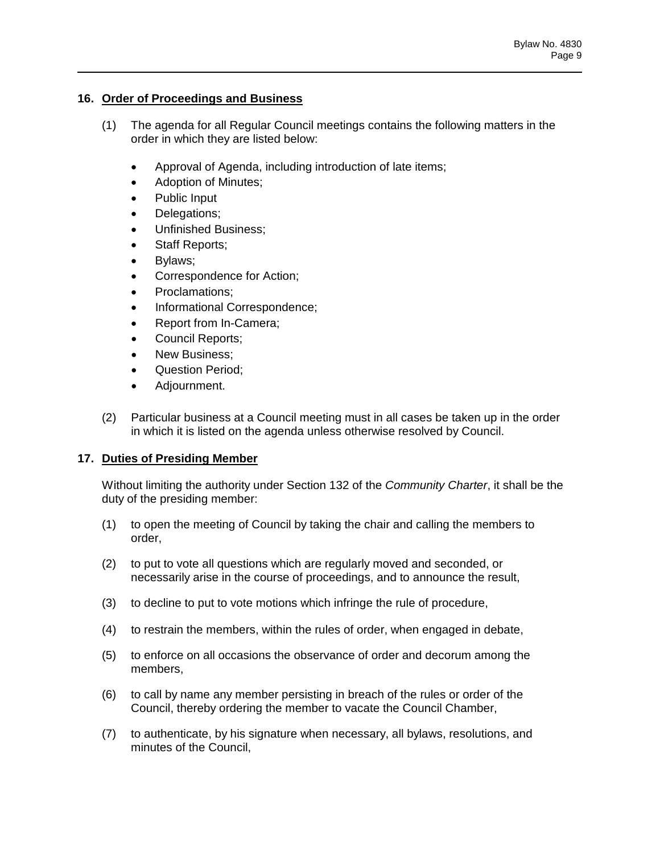## **16. Order of Proceedings and Business**

- (1) The agenda for all Regular Council meetings contains the following matters in the order in which they are listed below:
	- Approval of Agenda, including introduction of late items;
	- Adoption of Minutes;
	- Public Input
	- Delegations;
	- Unfinished Business;
	- Staff Reports;
	- Bylaws;
	- Correspondence for Action;
	- Proclamations;
	- Informational Correspondence;
	- Report from In-Camera;
	- Council Reports;
	- New Business;
	- Question Period:
	- Adjournment.
- (2) Particular business at a Council meeting must in all cases be taken up in the order in which it is listed on the agenda unless otherwise resolved by Council.

# **17. Duties of Presiding Member**

Without limiting the authority under Section 132 of the *Community Charter*, it shall be the duty of the presiding member:

- (1) to open the meeting of Council by taking the chair and calling the members to order,
- (2) to put to vote all questions which are regularly moved and seconded, or necessarily arise in the course of proceedings, and to announce the result,
- (3) to decline to put to vote motions which infringe the rule of procedure,
- (4) to restrain the members, within the rules of order, when engaged in debate,
- (5) to enforce on all occasions the observance of order and decorum among the members,
- (6) to call by name any member persisting in breach of the rules or order of the Council, thereby ordering the member to vacate the Council Chamber,
- (7) to authenticate, by his signature when necessary, all bylaws, resolutions, and minutes of the Council,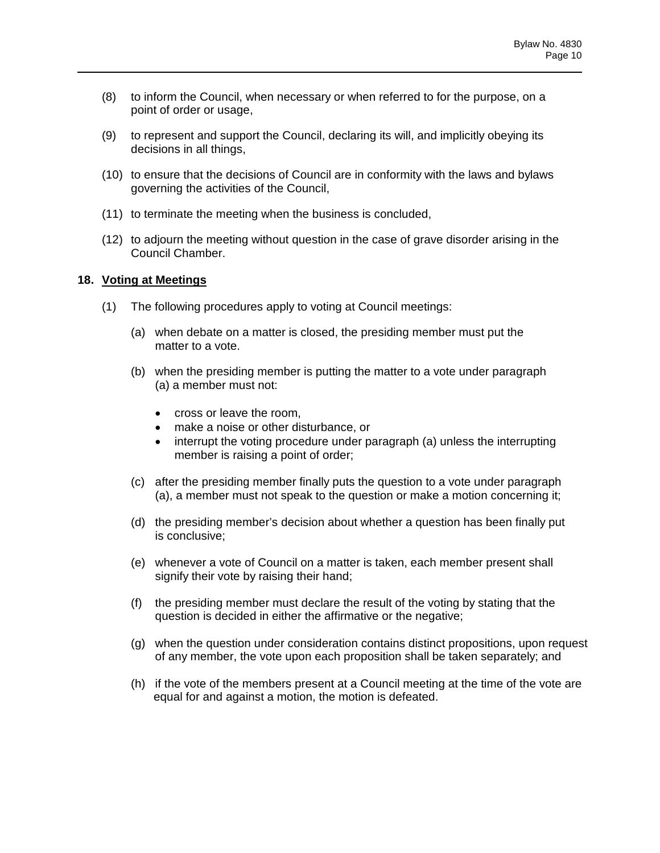- (8) to inform the Council, when necessary or when referred to for the purpose, on a point of order or usage,
- (9) to represent and support the Council, declaring its will, and implicitly obeying its decisions in all things,
- (10) to ensure that the decisions of Council are in conformity with the laws and bylaws governing the activities of the Council,
- (11) to terminate the meeting when the business is concluded,
- (12) to adjourn the meeting without question in the case of grave disorder arising in the Council Chamber.

### **18. Voting at Meetings**

- (1) The following procedures apply to voting at Council meetings:
	- (a) when debate on a matter is closed, the presiding member must put the matter to a vote.
	- (b) when the presiding member is putting the matter to a vote under paragraph (a) a member must not:
		- cross or leave the room,
		- make a noise or other disturbance, or
		- interrupt the voting procedure under paragraph (a) unless the interrupting member is raising a point of order;
	- (c) after the presiding member finally puts the question to a vote under paragraph (a), a member must not speak to the question or make a motion concerning it;
	- (d) the presiding member's decision about whether a question has been finally put is conclusive;
	- (e) whenever a vote of Council on a matter is taken, each member present shall signify their vote by raising their hand;
	- (f) the presiding member must declare the result of the voting by stating that the question is decided in either the affirmative or the negative;
	- (g) when the question under consideration contains distinct propositions, upon request of any member, the vote upon each proposition shall be taken separately; and
	- (h) if the vote of the members present at a Council meeting at the time of the vote are equal for and against a motion, the motion is defeated.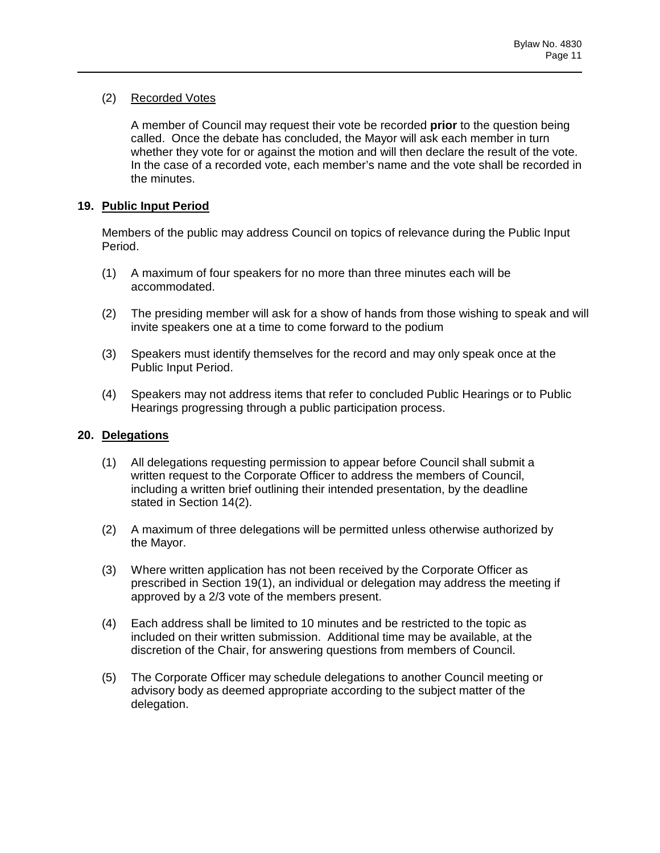## (2) Recorded Votes

A member of Council may request their vote be recorded **prior** to the question being called. Once the debate has concluded, the Mayor will ask each member in turn whether they vote for or against the motion and will then declare the result of the vote. In the case of a recorded vote, each member's name and the vote shall be recorded in the minutes.

## **19. Public Input Period**

Members of the public may address Council on topics of relevance during the Public Input Period.

- (1) A maximum of four speakers for no more than three minutes each will be accommodated.
- (2) The presiding member will ask for a show of hands from those wishing to speak and will invite speakers one at a time to come forward to the podium
- (3) Speakers must identify themselves for the record and may only speak once at the Public Input Period.
- (4) Speakers may not address items that refer to concluded Public Hearings or to Public Hearings progressing through a public participation process.

# **20. Delegations**

- (1) All delegations requesting permission to appear before Council shall submit a written request to the Corporate Officer to address the members of Council, including a written brief outlining their intended presentation, by the deadline stated in Section 14(2).
- (2) A maximum of three delegations will be permitted unless otherwise authorized by the Mayor.
- (3) Where written application has not been received by the Corporate Officer as prescribed in Section 19(1), an individual or delegation may address the meeting if approved by a 2/3 vote of the members present.
- (4) Each address shall be limited to 10 minutes and be restricted to the topic as included on their written submission. Additional time may be available, at the discretion of the Chair, for answering questions from members of Council.
- (5) The Corporate Officer may schedule delegations to another Council meeting or advisory body as deemed appropriate according to the subject matter of the delegation.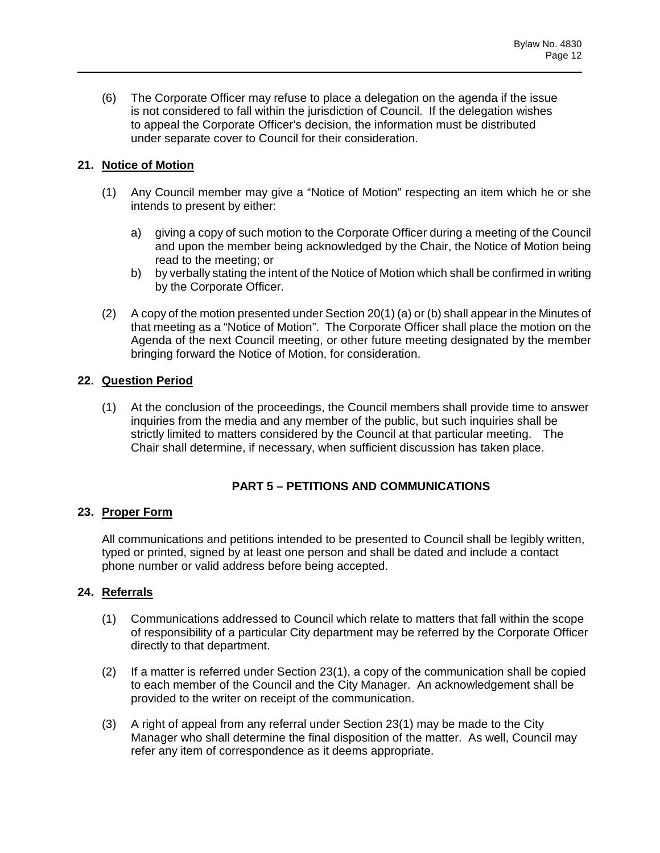(6) The Corporate Officer may refuse to place a delegation on the agenda if the issue is not considered to fall within the jurisdiction of Council. If the delegation wishes to appeal the Corporate Officer's decision, the information must be distributed under separate cover to Council for their consideration.

# **21. Notice of Motion**

- (1) Any Council member may give a "Notice of Motion" respecting an item which he or she intends to present by either:
	- a) giving a copy of such motion to the Corporate Officer during a meeting of the Council and upon the member being acknowledged by the Chair, the Notice of Motion being read to the meeting; or
	- b) by verbally stating the intent of the Notice of Motion which shall be confirmed in writing by the Corporate Officer.
- (2) A copy of the motion presented under Section 20(1) (a) or (b) shall appear in the Minutes of that meeting as a "Notice of Motion". The Corporate Officer shall place the motion on the Agenda of the next Council meeting, or other future meeting designated by the member bringing forward the Notice of Motion, for consideration.

# **22. Question Period**

(1) At the conclusion of the proceedings, the Council members shall provide time to answer inquiries from the media and any member of the public, but such inquiries shall be strictly limited to matters considered by the Council at that particular meeting. The Chair shall determine, if necessary, when sufficient discussion has taken place.

# **PART 5 – PETITIONS AND COMMUNICATIONS**

# **23. Proper Form**

All communications and petitions intended to be presented to Council shall be legibly written, typed or printed, signed by at least one person and shall be dated and include a contact phone number or valid address before being accepted.

# **24. Referrals**

- (1) Communications addressed to Council which relate to matters that fall within the scope of responsibility of a particular City department may be referred by the Corporate Officer directly to that department.
- (2) If a matter is referred under Section 23(1), a copy of the communication shall be copied to each member of the Council and the City Manager. An acknowledgement shall be provided to the writer on receipt of the communication.
- (3) A right of appeal from any referral under Section 23(1) may be made to the City Manager who shall determine the final disposition of the matter. As well, Council may refer any item of correspondence as it deems appropriate.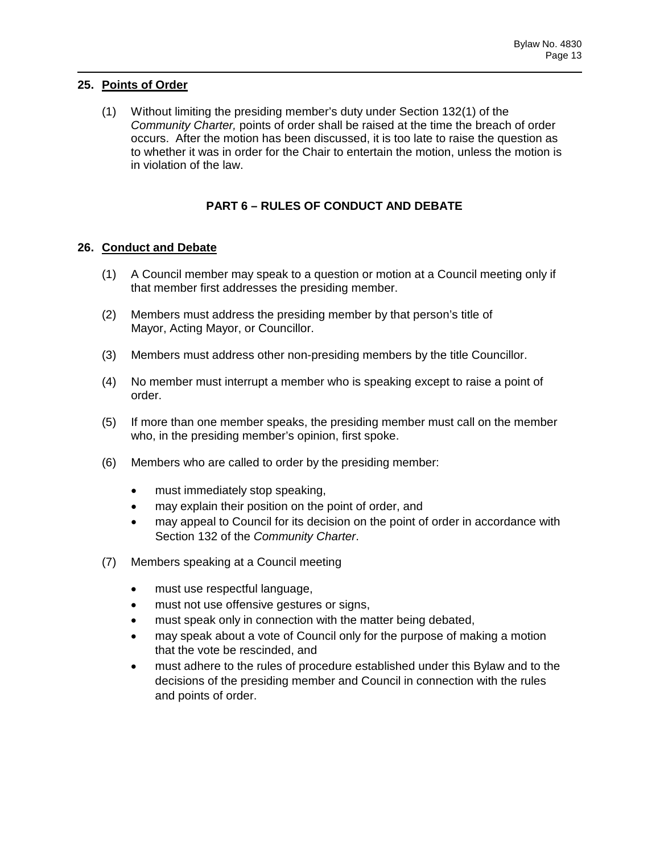## **25. Points of Order**

(1) Without limiting the presiding member's duty under Section 132(1) of the *Community Charter,* points of order shall be raised at the time the breach of order occurs. After the motion has been discussed, it is too late to raise the question as to whether it was in order for the Chair to entertain the motion, unless the motion is in violation of the law.

# **PART 6 – RULES OF CONDUCT AND DEBATE**

## **26. Conduct and Debate**

- (1) A Council member may speak to a question or motion at a Council meeting only if that member first addresses the presiding member.
- (2) Members must address the presiding member by that person's title of Mayor, Acting Mayor, or Councillor.
- (3) Members must address other non-presiding members by the title Councillor.
- (4) No member must interrupt a member who is speaking except to raise a point of order.
- (5) If more than one member speaks, the presiding member must call on the member who, in the presiding member's opinion, first spoke.
- (6) Members who are called to order by the presiding member:
	- must immediately stop speaking,
	- may explain their position on the point of order, and
	- may appeal to Council for its decision on the point of order in accordance with Section 132 of the *Community Charter*.
- (7) Members speaking at a Council meeting
	- must use respectful language,
	- must not use offensive gestures or signs,
	- must speak only in connection with the matter being debated,
	- may speak about a vote of Council only for the purpose of making a motion that the vote be rescinded, and
	- must adhere to the rules of procedure established under this Bylaw and to the decisions of the presiding member and Council in connection with the rules and points of order.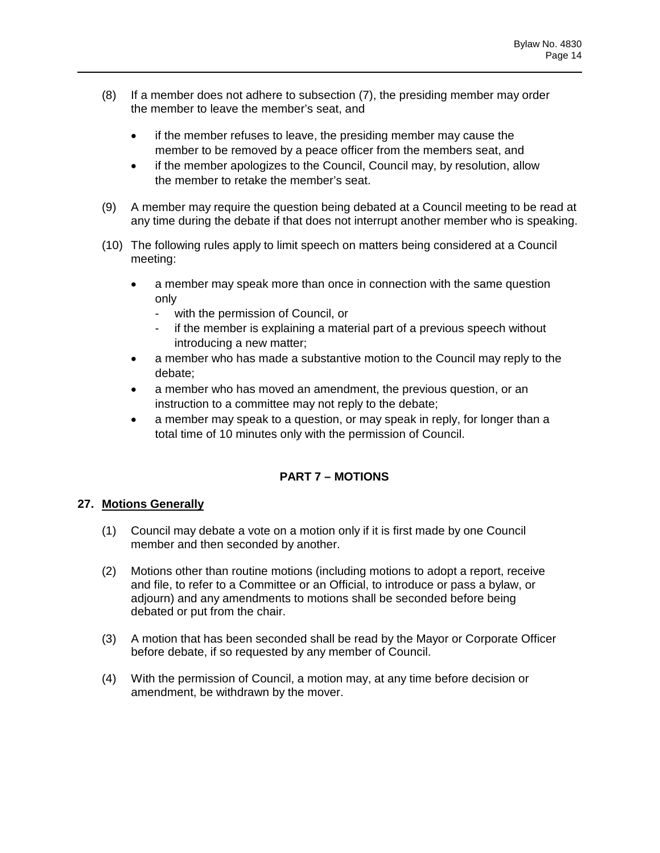- (8) If a member does not adhere to subsection (7), the presiding member may order the member to leave the member's seat, and
	- if the member refuses to leave, the presiding member may cause the member to be removed by a peace officer from the members seat, and
	- if the member apologizes to the Council, Council may, by resolution, allow the member to retake the member's seat.
- (9) A member may require the question being debated at a Council meeting to be read at any time during the debate if that does not interrupt another member who is speaking.
- (10) The following rules apply to limit speech on matters being considered at a Council meeting:
	- a member may speak more than once in connection with the same question only
		- with the permission of Council, or
		- if the member is explaining a material part of a previous speech without introducing a new matter;
	- a member who has made a substantive motion to the Council may reply to the debate;
	- a member who has moved an amendment, the previous question, or an instruction to a committee may not reply to the debate;
	- a member may speak to a question, or may speak in reply, for longer than a total time of 10 minutes only with the permission of Council.

# **PART 7 – MOTIONS**

# **27. Motions Generally**

- (1) Council may debate a vote on a motion only if it is first made by one Council member and then seconded by another.
- (2) Motions other than routine motions (including motions to adopt a report, receive and file, to refer to a Committee or an Official, to introduce or pass a bylaw, or adjourn) and any amendments to motions shall be seconded before being debated or put from the chair.
- (3) A motion that has been seconded shall be read by the Mayor or Corporate Officer before debate, if so requested by any member of Council.
- (4) With the permission of Council, a motion may, at any time before decision or amendment, be withdrawn by the mover.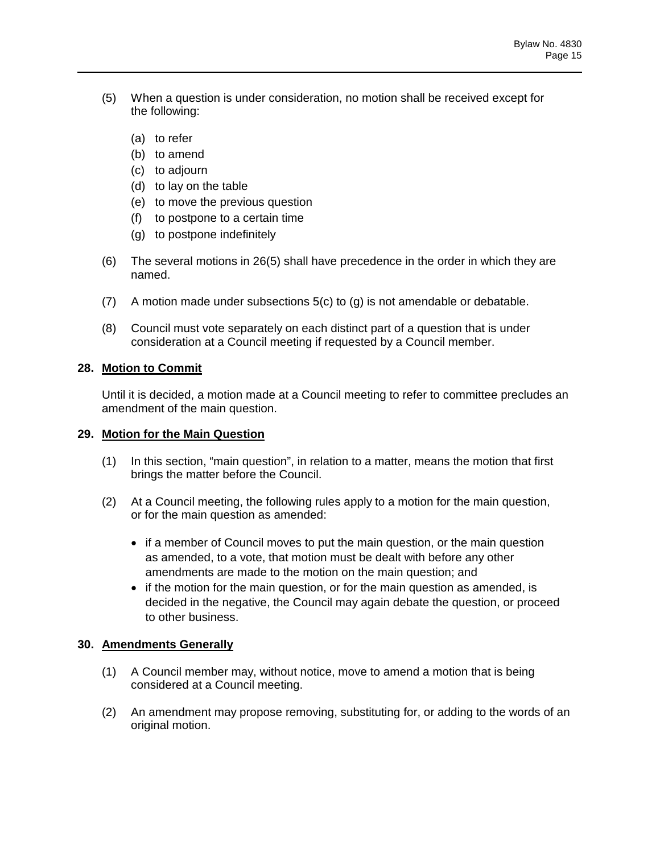- (5) When a question is under consideration, no motion shall be received except for the following:
	- (a) to refer
	- (b) to amend
	- (c) to adjourn
	- (d) to lay on the table
	- (e) to move the previous question
	- (f) to postpone to a certain time
	- (g) to postpone indefinitely
- (6) The several motions in 26(5) shall have precedence in the order in which they are named.
- (7) A motion made under subsections 5(c) to (g) is not amendable or debatable.
- (8) Council must vote separately on each distinct part of a question that is under consideration at a Council meeting if requested by a Council member.

### **28. Motion to Commit**

Until it is decided, a motion made at a Council meeting to refer to committee precludes an amendment of the main question.

### **29. Motion for the Main Question**

- (1) In this section, "main question", in relation to a matter, means the motion that first brings the matter before the Council.
- (2) At a Council meeting, the following rules apply to a motion for the main question, or for the main question as amended:
	- if a member of Council moves to put the main question, or the main question as amended, to a vote, that motion must be dealt with before any other amendments are made to the motion on the main question; and
	- if the motion for the main question, or for the main question as amended, is decided in the negative, the Council may again debate the question, or proceed to other business.

### **30. Amendments Generally**

- (1) A Council member may, without notice, move to amend a motion that is being considered at a Council meeting.
- (2) An amendment may propose removing, substituting for, or adding to the words of an original motion.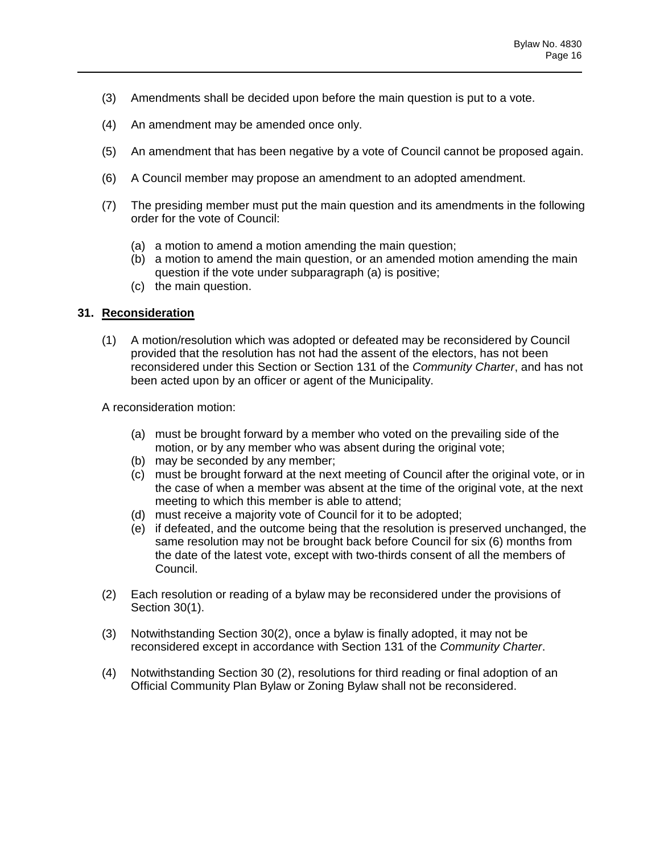- (3) Amendments shall be decided upon before the main question is put to a vote.
- (4) An amendment may be amended once only.
- (5) An amendment that has been negative by a vote of Council cannot be proposed again.
- (6) A Council member may propose an amendment to an adopted amendment.
- (7) The presiding member must put the main question and its amendments in the following order for the vote of Council:
	- (a) a motion to amend a motion amending the main question;
	- (b) a motion to amend the main question, or an amended motion amending the main question if the vote under subparagraph (a) is positive;
	- (c) the main question.

## **31. Reconsideration**

(1) A motion/resolution which was adopted or defeated may be reconsidered by Council provided that the resolution has not had the assent of the electors, has not been reconsidered under this Section or Section 131 of the *Community Charter*, and has not been acted upon by an officer or agent of the Municipality.

A reconsideration motion:

- (a) must be brought forward by a member who voted on the prevailing side of the motion, or by any member who was absent during the original vote;
- (b) may be seconded by any member;
- (c) must be brought forward at the next meeting of Council after the original vote, or in the case of when a member was absent at the time of the original vote, at the next meeting to which this member is able to attend;
- (d) must receive a majority vote of Council for it to be adopted;
- (e) if defeated, and the outcome being that the resolution is preserved unchanged, the same resolution may not be brought back before Council for six (6) months from the date of the latest vote, except with two-thirds consent of all the members of Council.
- (2) Each resolution or reading of a bylaw may be reconsidered under the provisions of Section 30(1).
- (3) Notwithstanding Section 30(2), once a bylaw is finally adopted, it may not be reconsidered except in accordance with Section 131 of the *Community Charter*.
- (4) Notwithstanding Section 30 (2), resolutions for third reading or final adoption of an Official Community Plan Bylaw or Zoning Bylaw shall not be reconsidered.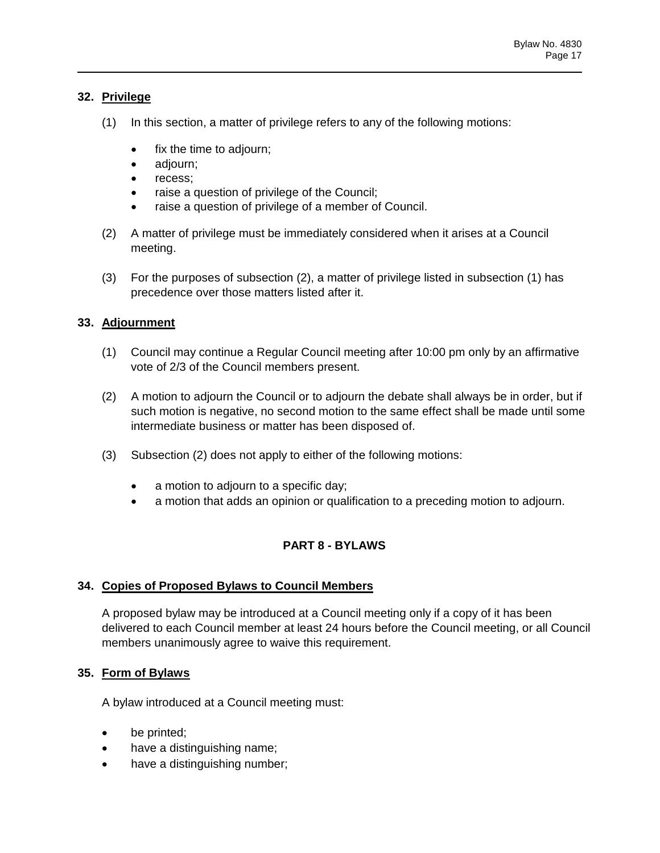## **32. Privilege**

- (1) In this section, a matter of privilege refers to any of the following motions:
	- fix the time to adjourn;
	- adjourn;
	- recess;
	- raise a question of privilege of the Council;
	- raise a question of privilege of a member of Council.
- (2) A matter of privilege must be immediately considered when it arises at a Council meeting.
- (3) For the purposes of subsection (2), a matter of privilege listed in subsection (1) has precedence over those matters listed after it.

# **33. Adjournment**

- (1) Council may continue a Regular Council meeting after 10:00 pm only by an affirmative vote of 2/3 of the Council members present.
- (2) A motion to adjourn the Council or to adjourn the debate shall always be in order, but if such motion is negative, no second motion to the same effect shall be made until some intermediate business or matter has been disposed of.
- (3) Subsection (2) does not apply to either of the following motions:
	- a motion to adjourn to a specific day;
	- a motion that adds an opinion or qualification to a preceding motion to adjourn.

# **PART 8 - BYLAWS**

### **34. Copies of Proposed Bylaws to Council Members**

A proposed bylaw may be introduced at a Council meeting only if a copy of it has been delivered to each Council member at least 24 hours before the Council meeting, or all Council members unanimously agree to waive this requirement.

# **35. Form of Bylaws**

A bylaw introduced at a Council meeting must:

- be printed;
- have a distinguishing name;
- have a distinguishing number;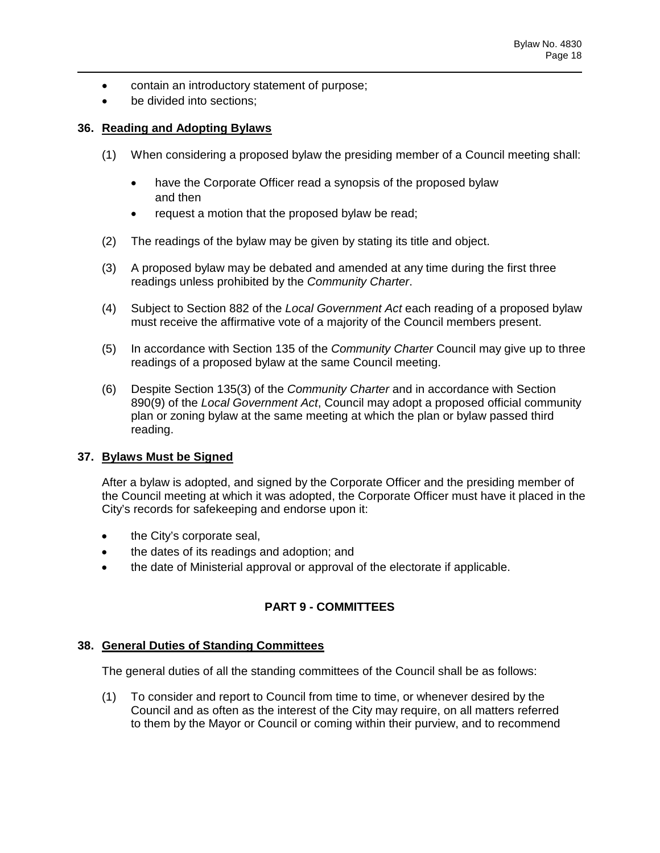- contain an introductory statement of purpose;
- be divided into sections;

## **36. Reading and Adopting Bylaws**

- (1) When considering a proposed bylaw the presiding member of a Council meeting shall:
	- have the Corporate Officer read a synopsis of the proposed bylaw and then
	- request a motion that the proposed bylaw be read;
- (2) The readings of the bylaw may be given by stating its title and object.
- (3) A proposed bylaw may be debated and amended at any time during the first three readings unless prohibited by the *Community Charter*.
- (4) Subject to Section 882 of the *Local Government Act* each reading of a proposed bylaw must receive the affirmative vote of a majority of the Council members present.
- (5) In accordance with Section 135 of the *Community Charter* Council may give up to three readings of a proposed bylaw at the same Council meeting.
- (6) Despite Section 135(3) of the *Community Charter* and in accordance with Section 890(9) of the *Local Government Act*, Council may adopt a proposed official community plan or zoning bylaw at the same meeting at which the plan or bylaw passed third reading.

### **37. Bylaws Must be Signed**

After a bylaw is adopted, and signed by the Corporate Officer and the presiding member of the Council meeting at which it was adopted, the Corporate Officer must have it placed in the City's records for safekeeping and endorse upon it:

- the City's corporate seal,
- the dates of its readings and adoption; and
- the date of Ministerial approval or approval of the electorate if applicable.

# **PART 9 - COMMITTEES**

### **38. General Duties of Standing Committees**

The general duties of all the standing committees of the Council shall be as follows:

(1) To consider and report to Council from time to time, or whenever desired by the Council and as often as the interest of the City may require, on all matters referred to them by the Mayor or Council or coming within their purview, and to recommend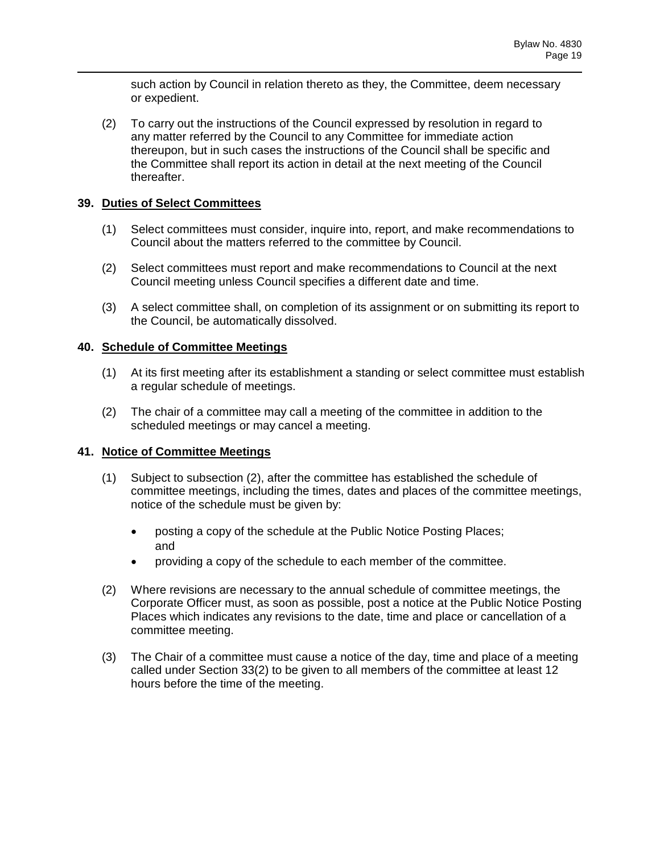such action by Council in relation thereto as they, the Committee, deem necessary or expedient.

(2) To carry out the instructions of the Council expressed by resolution in regard to any matter referred by the Council to any Committee for immediate action thereupon, but in such cases the instructions of the Council shall be specific and the Committee shall report its action in detail at the next meeting of the Council thereafter.

## **39. Duties of Select Committees**

- (1) Select committees must consider, inquire into, report, and make recommendations to Council about the matters referred to the committee by Council.
- (2) Select committees must report and make recommendations to Council at the next Council meeting unless Council specifies a different date and time.
- (3) A select committee shall, on completion of its assignment or on submitting its report to the Council, be automatically dissolved.

### **40. Schedule of Committee Meetings**

- (1) At its first meeting after its establishment a standing or select committee must establish a regular schedule of meetings.
- (2) The chair of a committee may call a meeting of the committee in addition to the scheduled meetings or may cancel a meeting.

### **41. Notice of Committee Meetings**

- (1) Subject to subsection (2), after the committee has established the schedule of committee meetings, including the times, dates and places of the committee meetings, notice of the schedule must be given by:
	- posting a copy of the schedule at the Public Notice Posting Places; and
	- providing a copy of the schedule to each member of the committee.
- (2) Where revisions are necessary to the annual schedule of committee meetings, the Corporate Officer must, as soon as possible, post a notice at the Public Notice Posting Places which indicates any revisions to the date, time and place or cancellation of a committee meeting.
- (3) The Chair of a committee must cause a notice of the day, time and place of a meeting called under Section 33(2) to be given to all members of the committee at least 12 hours before the time of the meeting.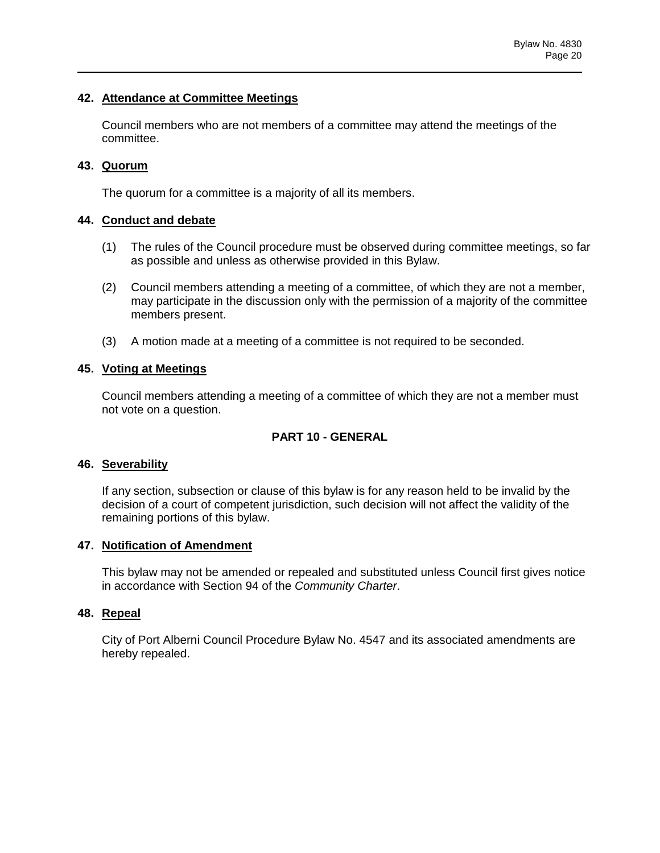### **42. Attendance at Committee Meetings**

Council members who are not members of a committee may attend the meetings of the committee.

## **43. Quorum**

The quorum for a committee is a majority of all its members.

## **44. Conduct and debate**

- (1) The rules of the Council procedure must be observed during committee meetings, so far as possible and unless as otherwise provided in this Bylaw.
- (2) Council members attending a meeting of a committee, of which they are not a member, may participate in the discussion only with the permission of a majority of the committee members present.
- (3) A motion made at a meeting of a committee is not required to be seconded.

## **45. Voting at Meetings**

Council members attending a meeting of a committee of which they are not a member must not vote on a question.

# **PART 10 - GENERAL**

### **46. Severability**

If any section, subsection or clause of this bylaw is for any reason held to be invalid by the decision of a court of competent jurisdiction, such decision will not affect the validity of the remaining portions of this bylaw.

### **47. Notification of Amendment**

This bylaw may not be amended or repealed and substituted unless Council first gives notice in accordance with Section 94 of the *Community Charter*.

# **48. Repeal**

City of Port Alberni Council Procedure Bylaw No. 4547 and its associated amendments are hereby repealed.